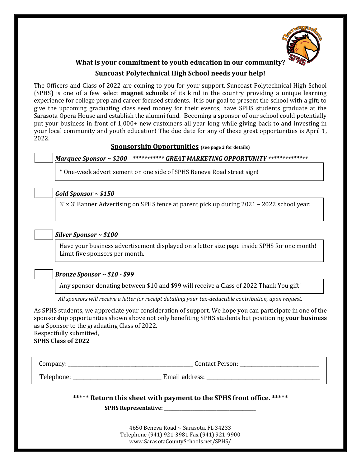

## **What is your commitment to youth education in our community? Suncoast Polytechnical High School needs your help!**

The Officers and Class of 2022 are coming to you for your support. Suncoast Polytechnical High School (SPHS) is one of a few select **magnet schools** of its kind in the country providing a unique learning experience for college prep and career focused students. It is our goal to present the school with a gift; to give the upcoming graduating class seed money for their events; have SPHS students graduate at the Sarasota Opera House and establish the alumni fund. Becoming a sponsor of our school could potentially put your business in front of 1,000+ new customers all year long while giving back to and investing in your local community and youth education! The due date for any of these great opportunities is April 1, 2022.

#### **Sponsorship Opportunities (see page 2 for details)**

### *Marquee Sponsor ~ \$200 \*\*\*\*\*\*\*\*\*\*\* GREAT MARKETING OPPORTUNITY \*\*\*\*\*\*\*\*\*\*\*\*\*\**

\* One-week advertisement on one side of SPHS Beneva Road street sign!

### *Gold Sponsor ~ \$150*

3' x 3' Banner Advertising on SPHS fence at parent pick up during 2021 – 2022 school year:

### *Silver Sponsor ~ \$100*

Have your business advertisement displayed on a letter size page inside SPHS for one month! Limit five sponsors per month.

### *Bronze Sponsor ~ \$10 - \$99*

Any sponsor donating between \$10 and \$99 will receive a Class of 2022 Thank You gift!

*All sponsors will receive a letter for receipt detailing your tax-deductible contribution, upon request.*

As SPHS students, we appreciate your consideration of support. We hope you can participate in one of the sponsorship opportunities shown above not only benefiting SPHS students but positioning **your business** as a Sponsor to the graduating Class of 2022.

Respectfully submitted, **SPHS Class of 2022**

Company: \_\_\_\_\_\_\_\_\_\_\_\_\_\_\_\_\_\_\_\_\_\_\_\_\_\_\_\_\_\_\_\_\_\_\_\_\_\_\_\_\_\_\_\_\_\_\_\_\_\_\_\_ Contact Person: \_\_\_\_\_\_\_\_\_\_\_\_\_\_\_\_\_\_\_\_\_\_\_\_\_\_\_\_\_\_\_\_\_

Telephone: **Email address:**  $\blacksquare$ 

**\*\*\*\*\* Return this sheet with payment to the SPHS front office. \*\*\*\*\***

**SPHS Representative: \_\_\_\_\_\_\_\_\_\_\_\_\_\_\_\_\_\_\_\_\_\_\_\_\_\_\_\_\_\_\_\_\_\_\_\_\_\_\_\_\_\_** 

4650 Beneva Road ~ Sarasota, FL 34233 Telephone (941) 921-3981 Fax (941) 921-9900 www.SarasotaCountySchools.net/SPHS/